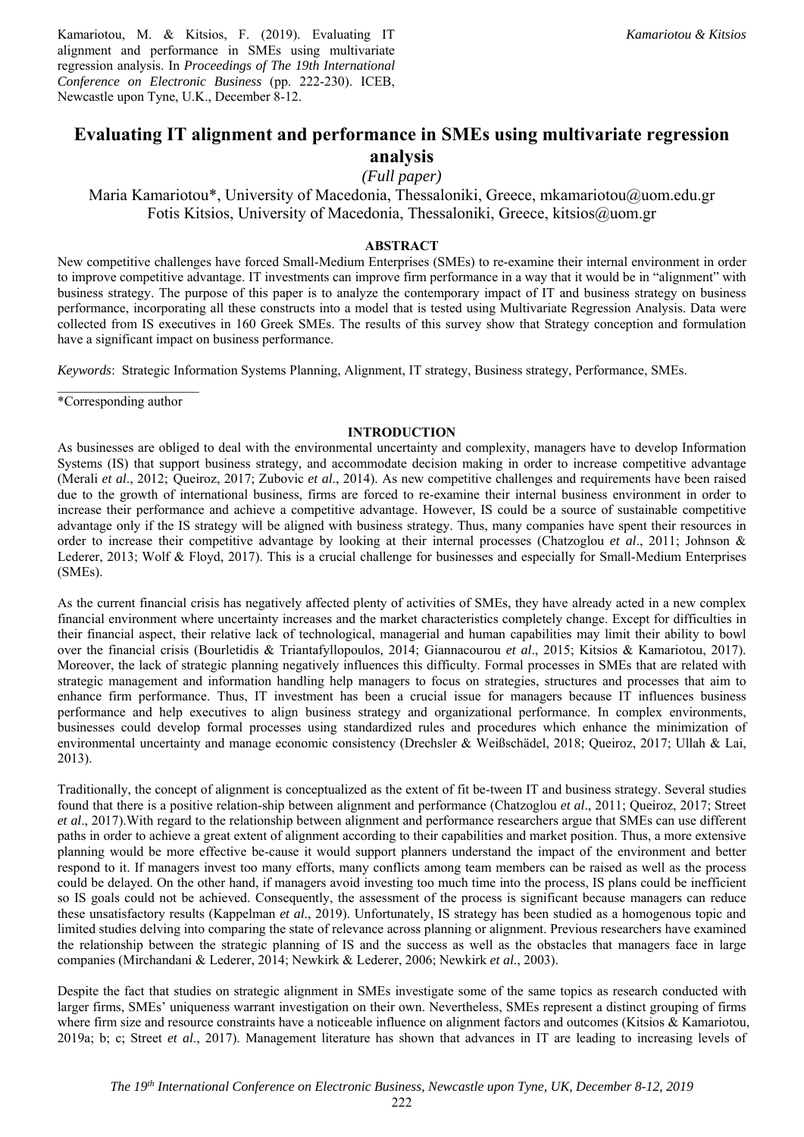Kamariotou, M. & Kitsios, F. (2019). Evaluating IT alignment and performance in SMEs using multivariate regression analysis. In *Proceedings of The 19th International Conference on Electronic Business* (pp. 222-230). ICEB, Newcastle upon Tyne, U.K., December 8-12.

# **Evaluating IT alignment and performance in SMEs using multivariate regression analysis**

*(Full paper)* 

Maria Kamariotou\*, University of Macedonia, Thessaloniki, Greece, mkamariotou@uom.edu.gr Fotis Kitsios, University of Macedonia, Thessaloniki, Greece, kitsios@uom.gr

# **ABSTRACT**

New competitive challenges have forced Small-Medium Enterprises (SMEs) to re-examine their internal environment in order to improve competitive advantage. IT investments can improve firm performance in a way that it would be in "alignment" with business strategy. The purpose of this paper is to analyze the contemporary impact of IT and business strategy on business performance, incorporating all these constructs into a model that is tested using Multivariate Regression Analysis. Data were collected from IS executives in 160 Greek SMEs. The results of this survey show that Strategy conception and formulation have a significant impact on business performance.

*Keywords*: Strategic Information Systems Planning, Alignment, IT strategy, Business strategy, Performance, SMEs.

\*Corresponding author

# **INTRODUCTION**

As businesses are obliged to deal with the environmental uncertainty and complexity, managers have to develop Information Systems (IS) that support business strategy, and accommodate decision making in order to increase competitive advantage (Merali *et al*., 2012; Queiroz, 2017; Zubovic *et al*., 2014). As new competitive challenges and requirements have been raised due to the growth of international business, firms are forced to re-examine their internal business environment in order to increase their performance and achieve a competitive advantage. However, IS could be a source of sustainable competitive advantage only if the IS strategy will be aligned with business strategy. Thus, many companies have spent their resources in order to increase their competitive advantage by looking at their internal processes (Chatzoglou *et al*., 2011; Johnson & Lederer, 2013; Wolf & Floyd, 2017). This is a crucial challenge for businesses and especially for Small-Medium Enterprises (SMEs).

As the current financial crisis has negatively affected plenty of activities of SMEs, they have already acted in a new complex financial environment where uncertainty increases and the market characteristics completely change. Except for difficulties in their financial aspect, their relative lack of technological, managerial and human capabilities may limit their ability to bowl over the financial crisis (Bourletidis & Triantafyllopoulos, 2014; Giannacourou *et al*., 2015; Kitsios & Kamariotou, 2017). Moreover, the lack of strategic planning negatively influences this difficulty. Formal processes in SMEs that are related with strategic management and information handling help managers to focus on strategies, structures and processes that aim to enhance firm performance. Thus, IT investment has been a crucial issue for managers because IT influences business performance and help executives to align business strategy and organizational performance. In complex environments, businesses could develop formal processes using standardized rules and procedures which enhance the minimization of environmental uncertainty and manage economic consistency (Drechsler & Weißschädel, 2018; Queiroz, 2017; Ullah & Lai, 2013).

Traditionally, the concept of alignment is conceptualized as the extent of fit be-tween IT and business strategy. Several studies found that there is a positive relation-ship between alignment and performance (Chatzoglou *et al*., 2011; Queiroz, 2017; Street *et al*., 2017).With regard to the relationship between alignment and performance researchers argue that SMEs can use different paths in order to achieve a great extent of alignment according to their capabilities and market position. Thus, a more extensive planning would be more effective be-cause it would support planners understand the impact of the environment and better respond to it. If managers invest too many efforts, many conflicts among team members can be raised as well as the process could be delayed. On the other hand, if managers avoid investing too much time into the process, IS plans could be inefficient so IS goals could not be achieved. Consequently, the assessment of the process is significant because managers can reduce these unsatisfactory results (Kappelman *et al*., 2019). Unfortunately, IS strategy has been studied as a homogenous topic and limited studies delving into comparing the state of relevance across planning or alignment. Previous researchers have examined the relationship between the strategic planning of IS and the success as well as the obstacles that managers face in large companies (Mirchandani & Lederer, 2014; Newkirk & Lederer, 2006; Newkirk *et al*., 2003).

Despite the fact that studies on strategic alignment in SMEs investigate some of the same topics as research conducted with larger firms, SMEs' uniqueness warrant investigation on their own. Nevertheless, SMEs represent a distinct grouping of firms where firm size and resource constraints have a noticeable influence on alignment factors and outcomes (Kitsios & Kamariotou, 2019a; b; c; Street *et al*., 2017). Management literature has shown that advances in IT are leading to increasing levels of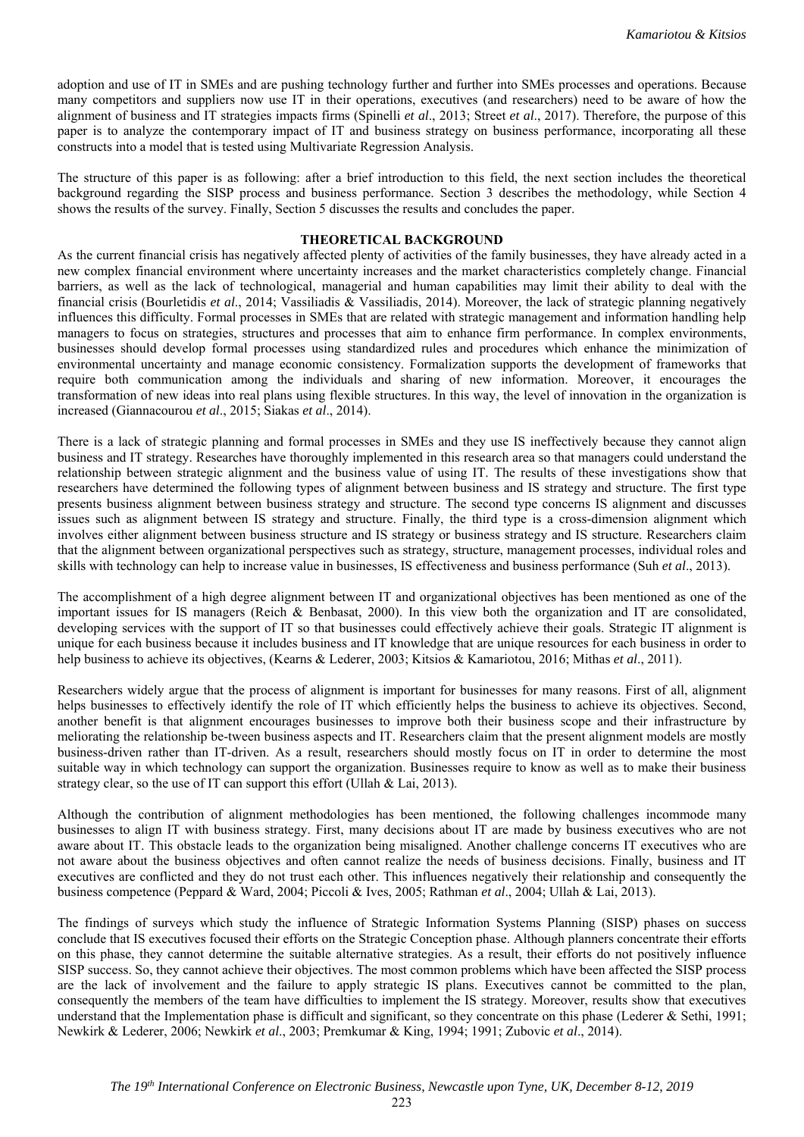adoption and use of IT in SMEs and are pushing technology further and further into SMEs processes and operations. Because many competitors and suppliers now use IT in their operations, executives (and researchers) need to be aware of how the alignment of business and IT strategies impacts firms (Spinelli *et al*., 2013; Street *et al*., 2017). Therefore, the purpose of this paper is to analyze the contemporary impact of IT and business strategy on business performance, incorporating all these constructs into a model that is tested using Multivariate Regression Analysis.

The structure of this paper is as following: after a brief introduction to this field, the next section includes the theoretical background regarding the SISP process and business performance. Section 3 describes the methodology, while Section 4 shows the results of the survey. Finally, Section 5 discusses the results and concludes the paper.

## **THEORETICAL BACKGROUND**

As the current financial crisis has negatively affected plenty of activities of the family businesses, they have already acted in a new complex financial environment where uncertainty increases and the market characteristics completely change. Financial barriers, as well as the lack of technological, managerial and human capabilities may limit their ability to deal with the financial crisis (Bourletidis *et al*., 2014; Vassiliadis & Vassiliadis, 2014). Moreover, the lack of strategic planning negatively influences this difficulty. Formal processes in SMEs that are related with strategic management and information handling help managers to focus on strategies, structures and processes that aim to enhance firm performance. In complex environments, businesses should develop formal processes using standardized rules and procedures which enhance the minimization of environmental uncertainty and manage economic consistency. Formalization supports the development of frameworks that require both communication among the individuals and sharing of new information. Moreover, it encourages the transformation of new ideas into real plans using flexible structures. In this way, the level of innovation in the organization is increased (Giannacourou *et al*., 2015; Siakas *et al*., 2014).

There is a lack of strategic planning and formal processes in SMEs and they use IS ineffectively because they cannot align business and IT strategy. Researches have thoroughly implemented in this research area so that managers could understand the relationship between strategic alignment and the business value of using IT. The results of these investigations show that researchers have determined the following types of alignment between business and IS strategy and structure. The first type presents business alignment between business strategy and structure. The second type concerns IS alignment and discusses issues such as alignment between IS strategy and structure. Finally, the third type is a cross-dimension alignment which involves either alignment between business structure and IS strategy or business strategy and IS structure. Researchers claim that the alignment between organizational perspectives such as strategy, structure, management processes, individual roles and skills with technology can help to increase value in businesses, IS effectiveness and business performance (Suh *et al*., 2013).

The accomplishment of a high degree alignment between IT and organizational objectives has been mentioned as one of the important issues for IS managers (Reich & Benbasat, 2000). In this view both the organization and IT are consolidated, developing services with the support of IT so that businesses could effectively achieve their goals. Strategic IT alignment is unique for each business because it includes business and IT knowledge that are unique resources for each business in order to help business to achieve its objectives, (Kearns & Lederer, 2003; Kitsios & Kamariotou, 2016; Mithas *et al*., 2011).

Researchers widely argue that the process of alignment is important for businesses for many reasons. First of all, alignment helps businesses to effectively identify the role of IT which efficiently helps the business to achieve its objectives. Second, another benefit is that alignment encourages businesses to improve both their business scope and their infrastructure by meliorating the relationship be-tween business aspects and IT. Researchers claim that the present alignment models are mostly business-driven rather than IT-driven. As a result, researchers should mostly focus on IT in order to determine the most suitable way in which technology can support the organization. Businesses require to know as well as to make their business strategy clear, so the use of IT can support this effort (Ullah & Lai, 2013).

Although the contribution of alignment methodologies has been mentioned, the following challenges incommode many businesses to align IT with business strategy. First, many decisions about IT are made by business executives who are not aware about IT. This obstacle leads to the organization being misaligned. Another challenge concerns IT executives who are not aware about the business objectives and often cannot realize the needs of business decisions. Finally, business and IT executives are conflicted and they do not trust each other. This influences negatively their relationship and consequently the business competence (Peppard & Ward, 2004; Piccoli & Ives, 2005; Rathman *et al*., 2004; Ullah & Lai, 2013).

The findings of surveys which study the influence of Strategic Information Systems Planning (SISP) phases on success conclude that IS executives focused their efforts on the Strategic Conception phase. Although planners concentrate their efforts on this phase, they cannot determine the suitable alternative strategies. As a result, their efforts do not positively influence SISP success. So, they cannot achieve their objectives. The most common problems which have been affected the SISP process are the lack of involvement and the failure to apply strategic IS plans. Executives cannot be committed to the plan, consequently the members of the team have difficulties to implement the IS strategy. Moreover, results show that executives understand that the Implementation phase is difficult and significant, so they concentrate on this phase (Lederer & Sethi, 1991; Newkirk & Lederer, 2006; Newkirk *et al*., 2003; Premkumar & King, 1994; 1991; Zubovic *et al*., 2014).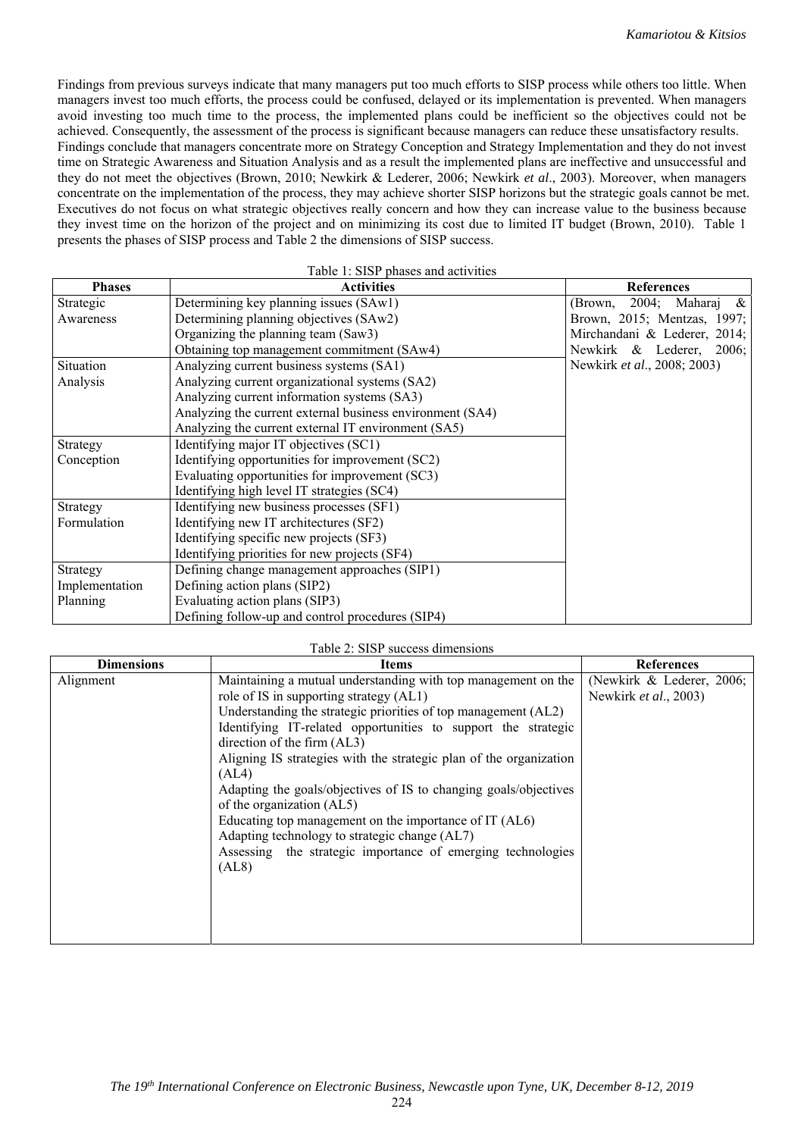Findings from previous surveys indicate that many managers put too much efforts to SISP process while others too little. When managers invest too much efforts, the process could be confused, delayed or its implementation is prevented. When managers avoid investing too much time to the process, the implemented plans could be inefficient so the objectives could not be achieved. Consequently, the assessment of the process is significant because managers can reduce these unsatisfactory results. Findings conclude that managers concentrate more on Strategy Conception and Strategy Implementation and they do not invest time on Strategic Awareness and Situation Analysis and as a result the implemented plans are ineffective and unsuccessful and they do not meet the objectives (Brown, 2010; Newkirk & Lederer, 2006; Newkirk *et al*., 2003). Moreover, when managers concentrate on the implementation of the process, they may achieve shorter SISP horizons but the strategic goals cannot be met. Executives do not focus on what strategic objectives really concern and how they can increase value to the business because they invest time on the horizon of the project and on minimizing its cost due to limited IT budget (Brown, 2010). Table 1 presents the phases of SISP process and Table 2 the dimensions of SISP success.

| <b>Phases</b>  | <b>Activities</b>                                         | <b>References</b>                    |
|----------------|-----------------------------------------------------------|--------------------------------------|
| Strategic      | Determining key planning issues (SAw1)                    | 2004; Maharaj<br>$\alpha$<br>(Brown, |
| Awareness      | Determining planning objectives (SAw2)                    | Brown, 2015; Mentzas, 1997;          |
|                | Organizing the planning team (Saw3)                       | Mirchandani & Lederer, 2014;         |
|                | Obtaining top management commitment (SAw4)                | Newkirk & Lederer, 2006;             |
| Situation      | Analyzing current business systems (SA1)                  | Newkirk et al., 2008; 2003)          |
| Analysis       | Analyzing current organizational systems (SA2)            |                                      |
|                | Analyzing current information systems (SA3)               |                                      |
|                | Analyzing the current external business environment (SA4) |                                      |
|                | Analyzing the current external IT environment (SA5)       |                                      |
| Strategy       | Identifying major IT objectives (SC1)                     |                                      |
| Conception     | Identifying opportunities for improvement (SC2)           |                                      |
|                | Evaluating opportunities for improvement (SC3)            |                                      |
|                | Identifying high level IT strategies (SC4)                |                                      |
| Strategy       | Identifying new business processes (SF1)                  |                                      |
| Formulation    | Identifying new IT architectures (SF2)                    |                                      |
|                | Identifying specific new projects (SF3)                   |                                      |
|                | Identifying priorities for new projects (SF4)             |                                      |
| Strategy       | Defining change management approaches (SIP1)              |                                      |
| Implementation | Defining action plans (SIP2)                              |                                      |
| Planning       | Evaluating action plans (SIP3)                            |                                      |
|                | Defining follow-up and control procedures (SIP4)          |                                      |

| Table 2: SISP success dimensions |  |  |
|----------------------------------|--|--|
|----------------------------------|--|--|

| <b>Dimensions</b> | <b>Items</b>                                                       | <b>References</b>         |
|-------------------|--------------------------------------------------------------------|---------------------------|
| Alignment         | Maintaining a mutual understanding with top management on the      | (Newkirk & Lederer, 2006; |
|                   | role of IS in supporting strategy (AL1)                            | Newkirk et al., 2003)     |
|                   | Understanding the strategic priorities of top management (AL2)     |                           |
|                   | Identifying IT-related opportunities to support the strategic      |                           |
|                   | direction of the firm (AL3)                                        |                           |
|                   | Aligning IS strategies with the strategic plan of the organization |                           |
|                   | (ALA)                                                              |                           |
|                   | Adapting the goals/objectives of IS to changing goals/objectives   |                           |
|                   | of the organization (AL5)                                          |                           |
|                   | Educating top management on the importance of IT (AL6)             |                           |
|                   | Adapting technology to strategic change (AL7)                      |                           |
|                   | Assessing the strategic importance of emerging technologies        |                           |
|                   | (AL8)                                                              |                           |
|                   |                                                                    |                           |
|                   |                                                                    |                           |
|                   |                                                                    |                           |
|                   |                                                                    |                           |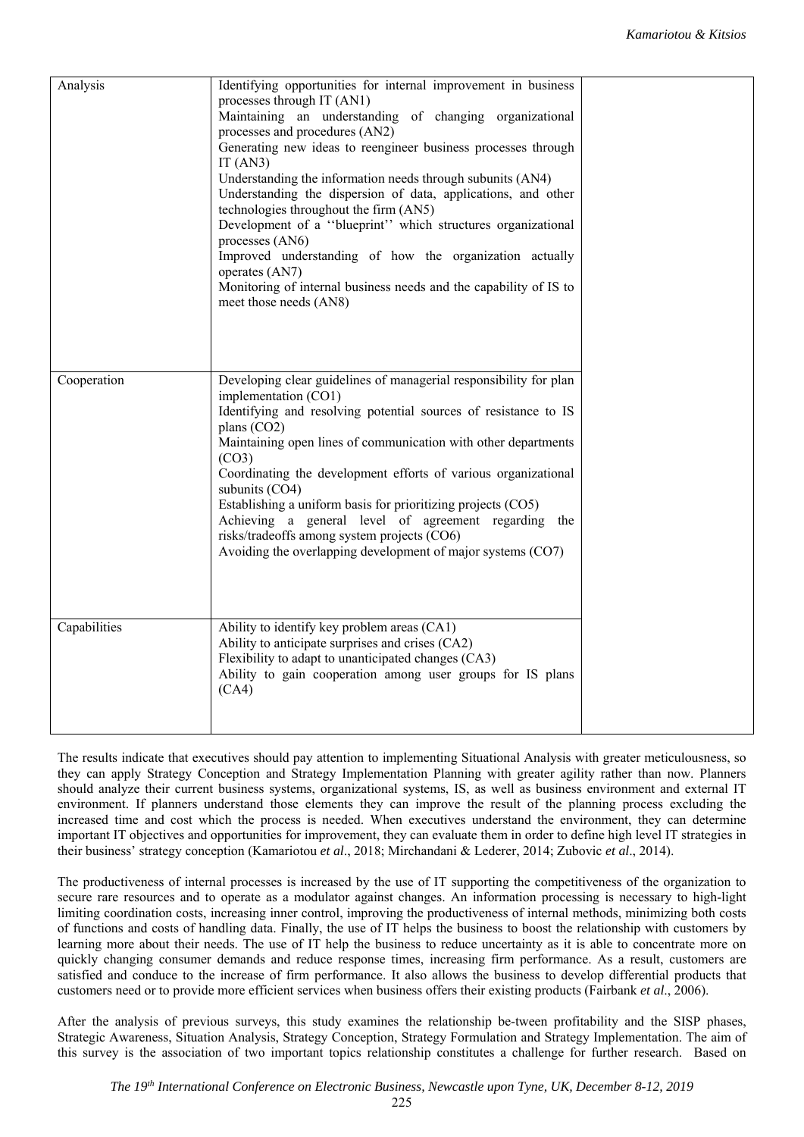| Analysis     | Identifying opportunities for internal improvement in business<br>processes through IT (AN1)<br>Maintaining an understanding of changing organizational<br>processes and procedures (AN2)<br>Generating new ideas to reengineer business processes through<br>IT $(AN3)$<br>Understanding the information needs through subunits (AN4)<br>Understanding the dispersion of data, applications, and other<br>technologies throughout the firm (AN5)<br>Development of a "blueprint" which structures organizational<br>processes (AN6)<br>Improved understanding of how the organization actually<br>operates (AN7)<br>Monitoring of internal business needs and the capability of IS to<br>meet those needs (AN8) |  |
|--------------|------------------------------------------------------------------------------------------------------------------------------------------------------------------------------------------------------------------------------------------------------------------------------------------------------------------------------------------------------------------------------------------------------------------------------------------------------------------------------------------------------------------------------------------------------------------------------------------------------------------------------------------------------------------------------------------------------------------|--|
| Cooperation  | Developing clear guidelines of managerial responsibility for plan<br>implementation (CO1)<br>Identifying and resolving potential sources of resistance to IS<br>plans (CO2)<br>Maintaining open lines of communication with other departments<br>(CO3)<br>Coordinating the development efforts of various organizational<br>subunits (CO4)<br>Establishing a uniform basis for prioritizing projects (CO5)<br>Achieving a general level of agreement regarding the<br>risks/tradeoffs among system projects (CO6)<br>Avoiding the overlapping development of major systems (CO7)                                                                                                                                 |  |
| Capabilities | Ability to identify key problem areas (CA1)<br>Ability to anticipate surprises and crises (CA2)<br>Flexibility to adapt to unanticipated changes (CA3)<br>Ability to gain cooperation among user groups for IS plans<br>(CA4)                                                                                                                                                                                                                                                                                                                                                                                                                                                                                    |  |

The results indicate that executives should pay attention to implementing Situational Analysis with greater meticulousness, so they can apply Strategy Conception and Strategy Implementation Planning with greater agility rather than now. Planners should analyze their current business systems, organizational systems, IS, as well as business environment and external IT environment. If planners understand those elements they can improve the result of the planning process excluding the increased time and cost which the process is needed. When executives understand the environment, they can determine important IT objectives and opportunities for improvement, they can evaluate them in order to define high level IT strategies in their business' strategy conception (Kamariotou *et al*., 2018; Mirchandani & Lederer, 2014; Zubovic *et al*., 2014).

The productiveness of internal processes is increased by the use of IT supporting the competitiveness of the organization to secure rare resources and to operate as a modulator against changes. An information processing is necessary to high-light limiting coordination costs, increasing inner control, improving the productiveness of internal methods, minimizing both costs of functions and costs of handling data. Finally, the use of IT helps the business to boost the relationship with customers by learning more about their needs. The use of IT help the business to reduce uncertainty as it is able to concentrate more on quickly changing consumer demands and reduce response times, increasing firm performance. As a result, customers are satisfied and conduce to the increase of firm performance. It also allows the business to develop differential products that customers need or to provide more efficient services when business offers their existing products (Fairbank *et al*., 2006).

After the analysis of previous surveys, this study examines the relationship be-tween profitability and the SISP phases, Strategic Awareness, Situation Analysis, Strategy Conception, Strategy Formulation and Strategy Implementation. The aim of this survey is the association of two important topics relationship constitutes a challenge for further research. Based on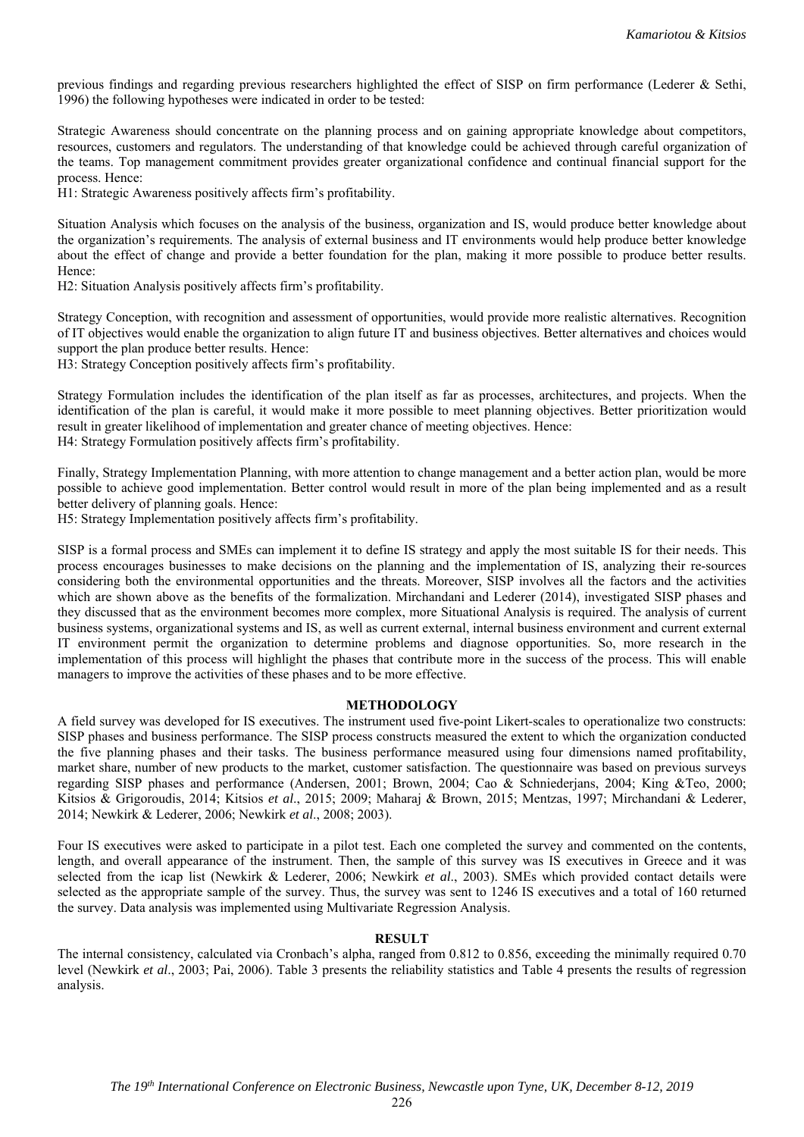previous findings and regarding previous researchers highlighted the effect of SISP on firm performance (Lederer & Sethi, 1996) the following hypotheses were indicated in order to be tested:

Strategic Awareness should concentrate on the planning process and on gaining appropriate knowledge about competitors, resources, customers and regulators. The understanding of that knowledge could be achieved through careful organization of the teams. Top management commitment provides greater organizational confidence and continual financial support for the process. Hence:

H1: Strategic Awareness positively affects firm's profitability.

Situation Analysis which focuses on the analysis of the business, organization and IS, would produce better knowledge about the organization's requirements. The analysis of external business and IT environments would help produce better knowledge about the effect of change and provide a better foundation for the plan, making it more possible to produce better results. Hence:

H2: Situation Analysis positively affects firm's profitability.

Strategy Conception, with recognition and assessment of opportunities, would provide more realistic alternatives. Recognition of IT objectives would enable the organization to align future IT and business objectives. Better alternatives and choices would support the plan produce better results. Hence:

H3: Strategy Conception positively affects firm's profitability.

Strategy Formulation includes the identification of the plan itself as far as processes, architectures, and projects. When the identification of the plan is careful, it would make it more possible to meet planning objectives. Better prioritization would result in greater likelihood of implementation and greater chance of meeting objectives. Hence: H4: Strategy Formulation positively affects firm's profitability.

Finally, Strategy Implementation Planning, with more attention to change management and a better action plan, would be more possible to achieve good implementation. Better control would result in more of the plan being implemented and as a result better delivery of planning goals. Hence:

H5: Strategy Implementation positively affects firm's profitability.

SISP is a formal process and SMEs can implement it to define IS strategy and apply the most suitable IS for their needs. This process encourages businesses to make decisions on the planning and the implementation of IS, analyzing their re-sources considering both the environmental opportunities and the threats. Moreover, SISP involves all the factors and the activities which are shown above as the benefits of the formalization. Mirchandani and Lederer (2014), investigated SISP phases and they discussed that as the environment becomes more complex, more Situational Analysis is required. The analysis of current business systems, organizational systems and IS, as well as current external, internal business environment and current external IT environment permit the organization to determine problems and diagnose opportunities. So, more research in the implementation of this process will highlight the phases that contribute more in the success of the process. This will enable managers to improve the activities of these phases and to be more effective.

## **METHODOLOGY**

A field survey was developed for IS executives. The instrument used five-point Likert-scales to operationalize two constructs: SISP phases and business performance. The SISP process constructs measured the extent to which the organization conducted the five planning phases and their tasks. The business performance measured using four dimensions named profitability, market share, number of new products to the market, customer satisfaction. The questionnaire was based on previous surveys regarding SISP phases and performance (Andersen, 2001; Brown, 2004; Cao & Schniederjans, 2004; King &Teo, 2000; Kitsios & Grigoroudis, 2014; Kitsios *et al*., 2015; 2009; Maharaj & Brown, 2015; Mentzas, 1997; Mirchandani & Lederer, 2014; Newkirk & Lederer, 2006; Newkirk *et al*., 2008; 2003).

Four IS executives were asked to participate in a pilot test. Each one completed the survey and commented on the contents, length, and overall appearance of the instrument. Then, the sample of this survey was IS executives in Greece and it was selected from the icap list (Newkirk & Lederer, 2006; Newkirk *et al*., 2003). SMEs which provided contact details were selected as the appropriate sample of the survey. Thus, the survey was sent to 1246 IS executives and a total of 160 returned the survey. Data analysis was implemented using Multivariate Regression Analysis.

#### **RESULT**

The internal consistency, calculated via Cronbach's alpha, ranged from 0.812 to 0.856, exceeding the minimally required 0.70 level (Newkirk *et al*., 2003; Pai, 2006). Table 3 presents the reliability statistics and Table 4 presents the results of regression analysis.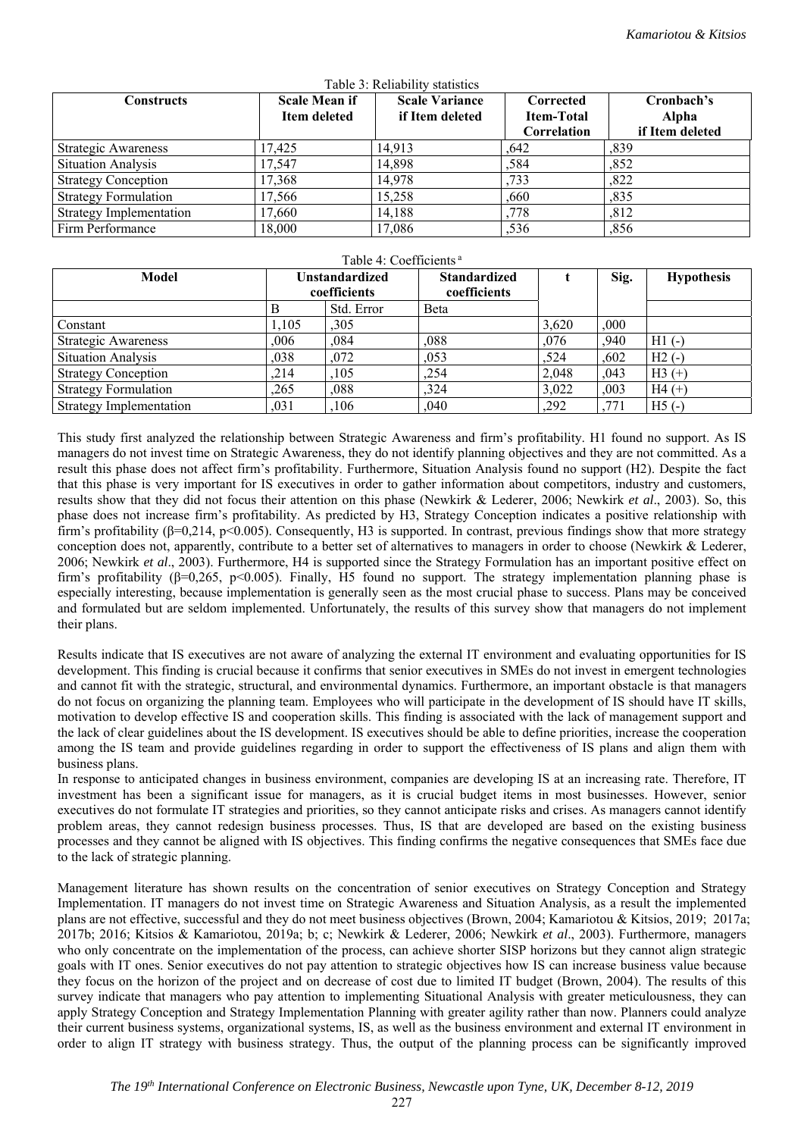| Table 3: Reliability statistics |                      |                       |                   |                 |  |
|---------------------------------|----------------------|-----------------------|-------------------|-----------------|--|
| <b>Constructs</b>               | <b>Scale Mean if</b> | <b>Scale Variance</b> | <b>Corrected</b>  | Cronbach's      |  |
|                                 | Item deleted         | if Item deleted       | <b>Item-Total</b> | <b>Alpha</b>    |  |
|                                 |                      |                       | Correlation       | if Item deleted |  |
| Strategic Awareness             | 17.425               | 14.913                | .642              | .839            |  |
| <b>Situation Analysis</b>       | 17,547               | 14,898                | .584              | .852            |  |
| <b>Strategy Conception</b>      | 17,368               | 14,978                | .733              | ,822            |  |
| <b>Strategy Formulation</b>     | 17,566               | 15,258                | .660              | ,835            |  |
| <b>Strategy Implementation</b>  | 17.660               | 14,188                | .778              | .812            |  |
| Firm Performance                | 18,000               | 17,086                | ,536              | ,856            |  |

#### Table 4: Coefficients a

| <b>Model</b>                | <b>Unstandardized</b><br>coefficients |            | <b>Standardized</b><br>coefficients |       | Sig. | <b>Hypothesis</b> |
|-----------------------------|---------------------------------------|------------|-------------------------------------|-------|------|-------------------|
|                             |                                       | Std. Error | Beta                                |       |      |                   |
| Constant                    | 1.105                                 | ,305       |                                     | 3,620 | .000 |                   |
| Strategic Awareness         | ,006                                  | .084       | .088                                | ,076  | .940 | $H1(-)$           |
| <b>Situation Analysis</b>   | ,038                                  | .072       | ,053                                | .524  | .602 | $H2$ (-)          |
| <b>Strategy Conception</b>  | ,214                                  | .105       | ,254                                | 2,048 | ,043 | $H3 (+)$          |
| <b>Strategy Formulation</b> | ,265                                  | ,088       | ,324                                | 3,022 | .003 | $H4 (+)$          |
| Strategy Implementation     | ,031                                  | ,106       | ,040                                | ,292  | ,771 | $H5(-)$           |

This study first analyzed the relationship between Strategic Awareness and firm's profitability. H1 found no support. As IS managers do not invest time on Strategic Awareness, they do not identify planning objectives and they are not committed. As a result this phase does not affect firm's profitability. Furthermore, Situation Analysis found no support (H2). Despite the fact that this phase is very important for IS executives in order to gather information about competitors, industry and customers, results show that they did not focus their attention on this phase (Newkirk & Lederer, 2006; Newkirk *et al*., 2003). So, this phase does not increase firm's profitability. As predicted by H3, Strategy Conception indicates a positive relationship with firm's profitability (β=0,214, p<0.005). Consequently, H3 is supported. In contrast, previous findings show that more strategy conception does not, apparently, contribute to a better set of alternatives to managers in order to choose (Newkirk & Lederer, 2006; Newkirk *et al*., 2003). Furthermore, H4 is supported since the Strategy Formulation has an important positive effect on firm's profitability (β=0,265, p<0.005). Finally, H5 found no support. The strategy implementation planning phase is especially interesting, because implementation is generally seen as the most crucial phase to success. Plans may be conceived and formulated but are seldom implemented. Unfortunately, the results of this survey show that managers do not implement their plans.

Results indicate that IS executives are not aware of analyzing the external IT environment and evaluating opportunities for IS development. This finding is crucial because it confirms that senior executives in SMEs do not invest in emergent technologies and cannot fit with the strategic, structural, and environmental dynamics. Furthermore, an important obstacle is that managers do not focus on organizing the planning team. Employees who will participate in the development of IS should have IT skills, motivation to develop effective IS and cooperation skills. This finding is associated with the lack of management support and the lack of clear guidelines about the IS development. IS executives should be able to define priorities, increase the cooperation among the IS team and provide guidelines regarding in order to support the effectiveness of IS plans and align them with business plans.

In response to anticipated changes in business environment, companies are developing IS at an increasing rate. Therefore, IT investment has been a significant issue for managers, as it is crucial budget items in most businesses. However, senior executives do not formulate IT strategies and priorities, so they cannot anticipate risks and crises. As managers cannot identify problem areas, they cannot redesign business processes. Thus, IS that are developed are based on the existing business processes and they cannot be aligned with IS objectives. This finding confirms the negative consequences that SMEs face due to the lack of strategic planning.

Management literature has shown results on the concentration of senior executives on Strategy Conception and Strategy Implementation. IT managers do not invest time on Strategic Awareness and Situation Analysis, as a result the implemented plans are not effective, successful and they do not meet business objectives (Brown, 2004; Kamariotou & Kitsios, 2019; 2017a; 2017b; 2016; Kitsios & Kamariotou, 2019a; b; c; Newkirk & Lederer, 2006; Newkirk *et al*., 2003). Furthermore, managers who only concentrate on the implementation of the process, can achieve shorter SISP horizons but they cannot align strategic goals with IT ones. Senior executives do not pay attention to strategic objectives how IS can increase business value because they focus on the horizon of the project and on decrease of cost due to limited IT budget (Brown, 2004). The results of this survey indicate that managers who pay attention to implementing Situational Analysis with greater meticulousness, they can apply Strategy Conception and Strategy Implementation Planning with greater agility rather than now. Planners could analyze their current business systems, organizational systems, IS, as well as the business environment and external IT environment in order to align IT strategy with business strategy. Thus, the output of the planning process can be significantly improved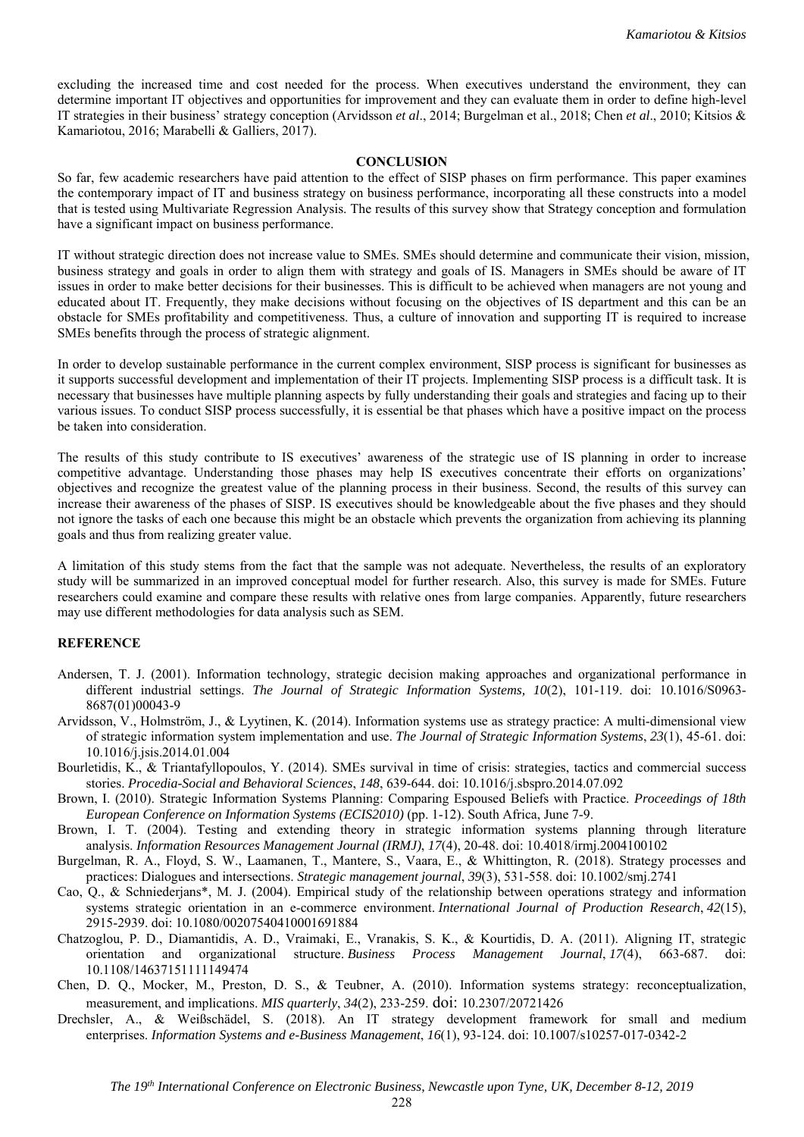excluding the increased time and cost needed for the process. When executives understand the environment, they can determine important IT objectives and opportunities for improvement and they can evaluate them in order to define high-level IT strategies in their business' strategy conception (Arvidsson *et al*., 2014; Burgelman et al., 2018; Chen *et al*., 2010; Kitsios & Kamariotou, 2016; Marabelli & Galliers, 2017).

#### **CONCLUSION**

So far, few academic researchers have paid attention to the effect of SISP phases on firm performance. This paper examines the contemporary impact of IT and business strategy on business performance, incorporating all these constructs into a model that is tested using Multivariate Regression Analysis. The results of this survey show that Strategy conception and formulation have a significant impact on business performance.

IT without strategic direction does not increase value to SMEs. SMEs should determine and communicate their vision, mission, business strategy and goals in order to align them with strategy and goals of IS. Managers in SMEs should be aware of IT issues in order to make better decisions for their businesses. This is difficult to be achieved when managers are not young and educated about IT. Frequently, they make decisions without focusing on the objectives of IS department and this can be an obstacle for SMEs profitability and competitiveness. Thus, a culture of innovation and supporting IT is required to increase SMEs benefits through the process of strategic alignment.

In order to develop sustainable performance in the current complex environment, SISP process is significant for businesses as it supports successful development and implementation of their IT projects. Implementing SISP process is a difficult task. It is necessary that businesses have multiple planning aspects by fully understanding their goals and strategies and facing up to their various issues. To conduct SISP process successfully, it is essential be that phases which have a positive impact on the process be taken into consideration.

The results of this study contribute to IS executives' awareness of the strategic use of IS planning in order to increase competitive advantage. Understanding those phases may help IS executives concentrate their efforts on organizations' objectives and recognize the greatest value of the planning process in their business. Second, the results of this survey can increase their awareness of the phases of SISP. IS executives should be knowledgeable about the five phases and they should not ignore the tasks of each one because this might be an obstacle which prevents the organization from achieving its planning goals and thus from realizing greater value.

A limitation of this study stems from the fact that the sample was not adequate. Nevertheless, the results of an exploratory study will be summarized in an improved conceptual model for further research. Also, this survey is made for SMEs. Future researchers could examine and compare these results with relative ones from large companies. Apparently, future researchers may use different methodologies for data analysis such as SEM.

# **REFERENCE**

- Andersen, T. J. (2001). Information technology, strategic decision making approaches and organizational performance in different industrial settings. *The Journal of Strategic Information Systems, 10*(2), 101-119. doi: 10.1016/S0963- 8687(01)00043-9
- Arvidsson, V., Holmström, J., & Lyytinen, K. (2014). Information systems use as strategy practice: A multi-dimensional view of strategic information system implementation and use. *The Journal of Strategic Information Systems*, *23*(1), 45-61. doi: 10.1016/j.jsis.2014.01.004
- Bourletidis, K., & Triantafyllopoulos, Y. (2014). SMEs survival in time of crisis: strategies, tactics and commercial success stories. *Procedia-Social and Behavioral Sciences*, *148*, 639-644. doi: 10.1016/j.sbspro.2014.07.092
- Brown, I. (2010). Strategic Information Systems Planning: Comparing Espoused Beliefs with Practice. *Proceedings of 18th European Conference on Information Systems (ECIS2010)* (pp. 1-12). South Africa, June 7-9.
- Brown, I. T. (2004). Testing and extending theory in strategic information systems planning through literature analysis. *Information Resources Management Journal (IRMJ)*, *17*(4), 20-48. doi: 10.4018/irmj.2004100102
- Burgelman, R. A., Floyd, S. W., Laamanen, T., Mantere, S., Vaara, E., & Whittington, R. (2018). Strategy processes and practices: Dialogues and intersections. *Strategic management journal*, *39*(3), 531-558. doi: 10.1002/smj.2741
- Cao, Q., & Schniederjans\*, M. J. (2004). Empirical study of the relationship between operations strategy and information systems strategic orientation in an e-commerce environment. *International Journal of Production Research*, *42*(15), 2915-2939. doi: 10.1080/00207540410001691884
- Chatzoglou, P. D., Diamantidis, A. D., Vraimaki, E., Vranakis, S. K., & Kourtidis, D. A. (2011). Aligning IT, strategic orientation and organizational structure. *Business Process Management Journal*, *17*(4), 663-687. doi: 10.1108/14637151111149474
- Chen, D. Q., Mocker, M., Preston, D. S., & Teubner, A. (2010). Information systems strategy: reconceptualization, measurement, and implications. *MIS quarterly*, *34*(2), 233-259. doi: 10.2307/20721426
- Drechsler, A., & Weißschädel, S. (2018). An IT strategy development framework for small and medium enterprises. *Information Systems and e-Business Management*, *16*(1), 93-124. doi: 10.1007/s10257-017-0342-2

228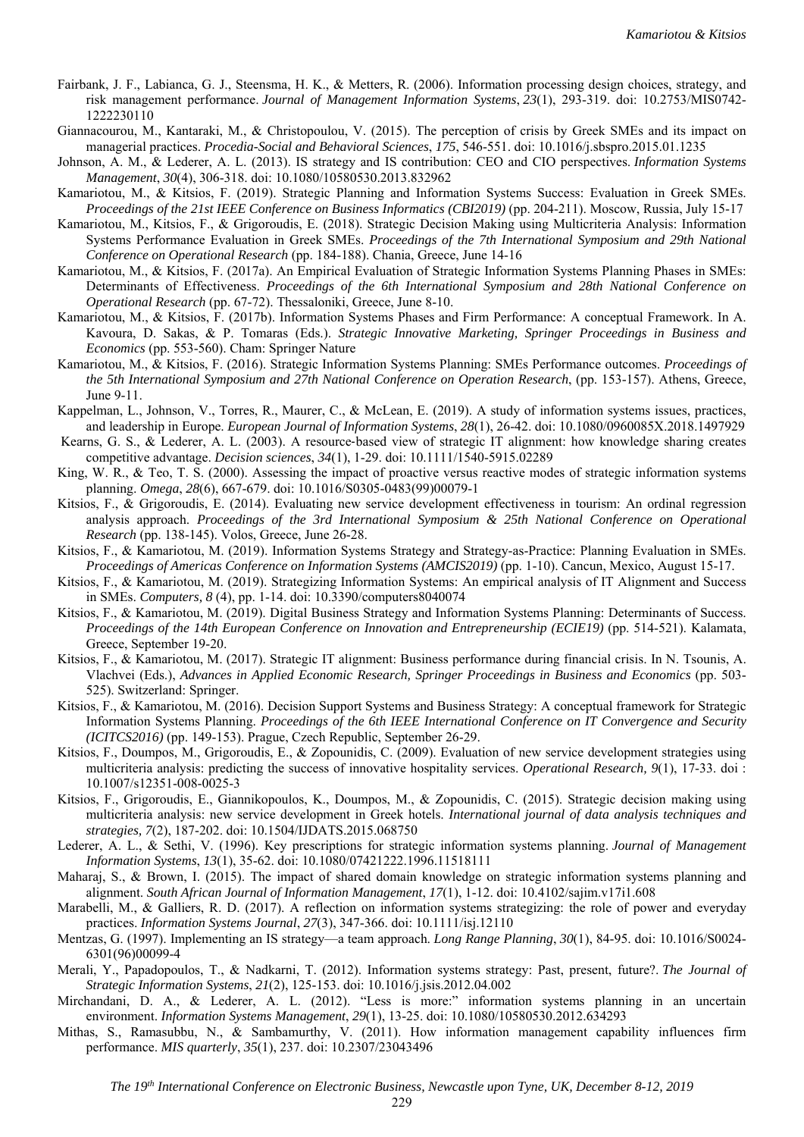- Fairbank, J. F., Labianca, G. J., Steensma, H. K., & Metters, R. (2006). Information processing design choices, strategy, and risk management performance. *Journal of Management Information Systems*, *23*(1), 293-319. doi: 10.2753/MIS0742- 1222230110
- Giannacourou, M., Kantaraki, M., & Christopoulou, V. (2015). The perception of crisis by Greek SMEs and its impact on managerial practices. *Procedia-Social and Behavioral Sciences*, *175*, 546-551. doi: 10.1016/j.sbspro.2015.01.1235
- Johnson, A. M., & Lederer, A. L. (2013). IS strategy and IS contribution: CEO and CIO perspectives. *Information Systems Management*, *30*(4), 306-318. doi: 10.1080/10580530.2013.832962
- Kamariotou, M., & Kitsios, F. (2019). Strategic Planning and Information Systems Success: Evaluation in Greek SMEs. *Proceedings of the 21st IEEE Conference on Business Informatics (CBI2019)* (pp. 204-211). Moscow, Russia, July 15-17
- Kamariotou, M., Kitsios, F., & Grigoroudis, E. (2018). Strategic Decision Making using Multicriteria Analysis: Information Systems Performance Evaluation in Greek SMEs. *Proceedings of the 7th International Symposium and 29th National Conference on Operational Research* (pp. 184-188). Chania, Greece, June 14-16
- Kamariotou, M., & Kitsios, F. (2017a). An Empirical Evaluation of Strategic Information Systems Planning Phases in SMEs: Determinants of Effectiveness. *Proceedings of the 6th International Symposium and 28th National Conference on Operational Research* (pp. 67-72). Thessaloniki, Greece, June 8-10.
- Kamariotou, M., & Kitsios, F. (2017b). Information Systems Phases and Firm Performance: A conceptual Framework. In A. Kavoura, D. Sakas, & P. Tomaras (Eds.). *Strategic Innovative Marketing, Springer Proceedings in Business and Economics* (pp. 553-560). Cham: Springer Nature
- Kamariotou, M., & Kitsios, F. (2016). Strategic Information Systems Planning: SMEs Performance outcomes. *Proceedings of the 5th International Symposium and 27th National Conference on Operation Research*, (pp. 153-157). Athens, Greece, June 9-11.
- Kappelman, L., Johnson, V., Torres, R., Maurer, C., & McLean, E. (2019). A study of information systems issues, practices, and leadership in Europe. *European Journal of Information Systems*, *28*(1), 26-42. doi: 10.1080/0960085X.2018.1497929
- Kearns, G. S., & Lederer, A. L. (2003). A resource-based view of strategic IT alignment: how knowledge sharing creates competitive advantage. *Decision sciences*, *34*(1), 1-29. doi: 10.1111/1540-5915.02289
- King, W. R., & Teo, T. S. (2000). Assessing the impact of proactive versus reactive modes of strategic information systems planning. *Omega*, *28*(6), 667-679. doi: 10.1016/S0305-0483(99)00079-1
- Kitsios, F., & Grigoroudis, E. (2014). Evaluating new service development effectiveness in tourism: An ordinal regression analysis approach. *Proceedings of the 3rd International Symposium & 25th National Conference on Operational Research* (pp. 138-145). Volos, Greece, June 26-28.
- Kitsios, F., & Kamariotou, M. (2019). Information Systems Strategy and Strategy-as-Practice: Planning Evaluation in SMEs. *Proceedings of Americas Conference on Information Systems (AMCIS2019)* (pp. 1-10). Cancun, Mexico, August 15-17.
- Kitsios, F., & Kamariotou, M. (2019). Strategizing Information Systems: An empirical analysis of IT Alignment and Success in SMEs. *Computers, 8* (4), pp. 1-14. doi: 10.3390/computers8040074
- Kitsios, F., & Kamariotou, M. (2019). Digital Business Strategy and Information Systems Planning: Determinants of Success. *Proceedings of the 14th European Conference on Innovation and Entrepreneurship (ECIE19)* (pp. 514-521). Kalamata, Greece, September 19-20.
- Kitsios, F., & Kamariotou, M. (2017). Strategic IT alignment: Business performance during financial crisis. In N. Tsounis, A. Vlachvei (Eds.), *Advances in Applied Economic Research, Springer Proceedings in Business and Economics* (pp. 503- 525). Switzerland: Springer.
- Kitsios, F., & Kamariotou, M. (2016). Decision Support Systems and Business Strategy: A conceptual framework for Strategic Information Systems Planning. *Proceedings of the 6th IEEE International Conference on IT Convergence and Security (ICITCS2016)* (pp. 149-153). Prague, Czech Republic, September 26-29.
- Kitsios, F., Doumpos, M., Grigoroudis, E., & Zopounidis, C. (2009). Evaluation of new service development strategies using multicriteria analysis: predicting the success of innovative hospitality services. *Operational Research, 9*(1), 17-33. doi : 10.1007/s12351-008-0025-3
- Kitsios, F., Grigoroudis, E., Giannikopoulos, K., Doumpos, M., & Zopounidis, C. (2015). Strategic decision making using multicriteria analysis: new service development in Greek hotels. *International journal of data analysis techniques and strategies, 7*(2), 187-202. doi: 10.1504/IJDATS.2015.068750
- Lederer, A. L., & Sethi, V. (1996). Key prescriptions for strategic information systems planning. *Journal of Management Information Systems*, *13*(1), 35-62. doi: 10.1080/07421222.1996.11518111
- Maharaj, S., & Brown, I. (2015). The impact of shared domain knowledge on strategic information systems planning and alignment. *South African Journal of Information Management*, *17*(1), 1-12. doi: 10.4102/sajim.v17i1.608
- Marabelli, M., & Galliers, R. D. (2017). A reflection on information systems strategizing: the role of power and everyday practices. *Information Systems Journal*, *27*(3), 347-366. doi: 10.1111/isj.12110
- Mentzas, G. (1997). Implementing an IS strategy—a team approach. *Long Range Planning*, *30*(1), 84-95. doi: 10.1016/S0024- 6301(96)00099-4
- Merali, Y., Papadopoulos, T., & Nadkarni, T. (2012). Information systems strategy: Past, present, future?. *The Journal of Strategic Information Systems*, *21*(2), 125-153. doi: 10.1016/j.jsis.2012.04.002
- Mirchandani, D. A., & Lederer, A. L. (2012). "Less is more:" information systems planning in an uncertain environment. *Information Systems Management*, *29*(1), 13-25. doi: 10.1080/10580530.2012.634293
- Mithas, S., Ramasubbu, N., & Sambamurthy, V. (2011). How information management capability influences firm performance. *MIS quarterly*, *35*(1), 237. doi: 10.2307/23043496